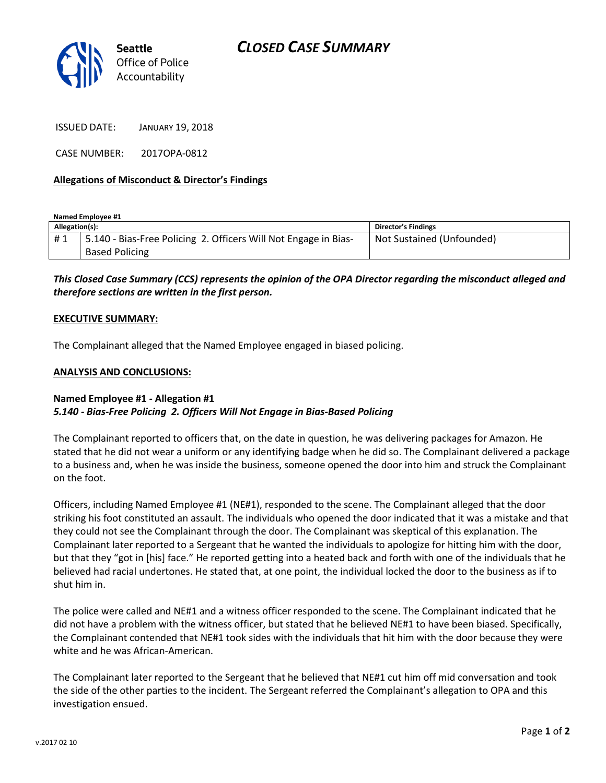

ISSUED DATE: JANUARY 19, 2018

CASE NUMBER: 2017OPA-0812

### **Allegations of Misconduct & Director's Findings**

**Named Employee #1**

| Allegation(s): |                                                                 | <b>Director's Findings</b> |
|----------------|-----------------------------------------------------------------|----------------------------|
| #1             | 5.140 - Bias-Free Policing 2. Officers Will Not Engage in Bias- | Not Sustained (Unfounded)  |
|                | <b>Based Policing</b>                                           |                            |

*This Closed Case Summary (CCS) represents the opinion of the OPA Director regarding the misconduct alleged and therefore sections are written in the first person.* 

#### **EXECUTIVE SUMMARY:**

The Complainant alleged that the Named Employee engaged in biased policing.

#### **ANALYSIS AND CONCLUSIONS:**

## **Named Employee #1 - Allegation #1** *5.140 - Bias-Free Policing 2. Officers Will Not Engage in Bias-Based Policing*

The Complainant reported to officers that, on the date in question, he was delivering packages for Amazon. He stated that he did not wear a uniform or any identifying badge when he did so. The Complainant delivered a package to a business and, when he was inside the business, someone opened the door into him and struck the Complainant on the foot.

Officers, including Named Employee #1 (NE#1), responded to the scene. The Complainant alleged that the door striking his foot constituted an assault. The individuals who opened the door indicated that it was a mistake and that they could not see the Complainant through the door. The Complainant was skeptical of this explanation. The Complainant later reported to a Sergeant that he wanted the individuals to apologize for hitting him with the door, but that they "got in [his] face." He reported getting into a heated back and forth with one of the individuals that he believed had racial undertones. He stated that, at one point, the individual locked the door to the business as if to shut him in.

The police were called and NE#1 and a witness officer responded to the scene. The Complainant indicated that he did not have a problem with the witness officer, but stated that he believed NE#1 to have been biased. Specifically, the Complainant contended that NE#1 took sides with the individuals that hit him with the door because they were white and he was African-American.

The Complainant later reported to the Sergeant that he believed that NE#1 cut him off mid conversation and took the side of the other parties to the incident. The Sergeant referred the Complainant's allegation to OPA and this investigation ensued.